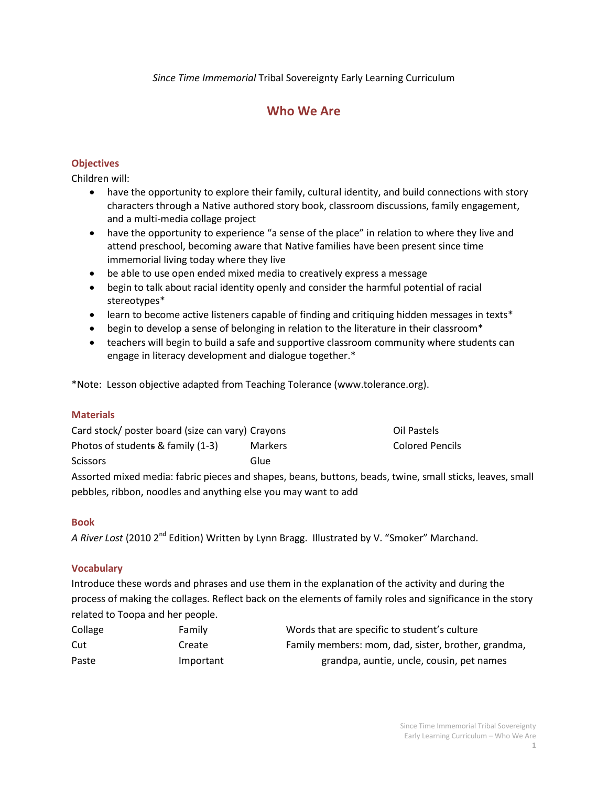*Since Time Immemorial* Tribal Sovereignty Early Learning Curriculum

# **Who We Are**

# **Objectives**

Children will:

- have the opportunity to explore their family, cultural identity, and build connections with story characters through a Native authored story book, classroom discussions, family engagement, and a multi-media collage project
- have the opportunity to experience "a sense of the place" in relation to where they live and attend preschool, becoming aware that Native families have been present since time immemorial living today where they live
- be able to use open ended mixed media to creatively express a message
- begin to talk about racial identity openly and consider the harmful potential of racial stereotypes\*
- learn to become active listeners capable of finding and critiquing hidden messages in texts\*
- begin to develop a sense of belonging in relation to the literature in their classroom\*
- teachers will begin to build a safe and supportive classroom community where students can engage in literacy development and dialogue together.\*

\*Note: Lesson objective adapted from Teaching Tolerance (www.tolerance.org).

# **Materials**

| Card stock/ poster board (size can vary) Crayons | Oil Pastels    |                 |
|--------------------------------------------------|----------------|-----------------|
| Photos of students & family (1-3)                | <b>Markers</b> | Colored Pencils |
| <b>Scissors</b>                                  | Glue           |                 |
|                                                  |                |                 |

Assorted mixed media: fabric pieces and shapes, beans, buttons, beads, twine, small sticks, leaves, small pebbles, ribbon, noodles and anything else you may want to add

# **Book**

*A River Lost* (2010 2nd Edition) Written by Lynn Bragg. Illustrated by V. "Smoker" Marchand.

### **Vocabulary**

Introduce these words and phrases and use them in the explanation of the activity and during the process of making the collages. Reflect back on the elements of family roles and significance in the story related to Toopa and her people.

| Collage | Family    | Words that are specific to student's culture        |
|---------|-----------|-----------------------------------------------------|
| Cut     | Create    | Family members: mom, dad, sister, brother, grandma, |
| Paste   | Important | grandpa, auntie, uncle, cousin, pet names           |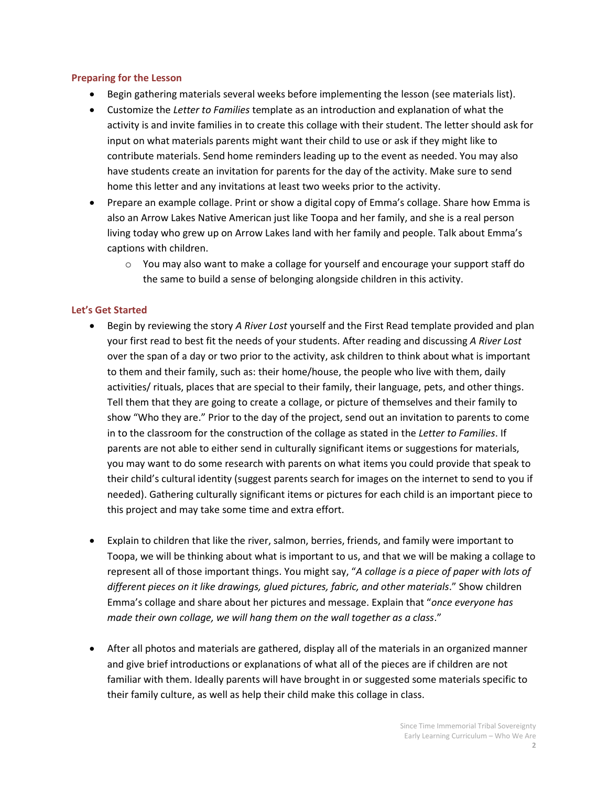#### **Preparing for the Lesson**

- Begin gathering materials several weeks before implementing the lesson (see materials list).
- Customize the *Letter to Families* template as an introduction and explanation of what the activity is and invite families in to create this collage with their student. The letter should ask for input on what materials parents might want their child to use or ask if they might like to contribute materials. Send home reminders leading up to the event as needed. You may also have students create an invitation for parents for the day of the activity. Make sure to send home this letter and any invitations at least two weeks prior to the activity.
- Prepare an example collage. Print or show a digital copy of Emma's collage. Share how Emma is also an Arrow Lakes Native American just like Toopa and her family, and she is a real person living today who grew up on Arrow Lakes land with her family and people. Talk about Emma's captions with children.
	- $\circ$  You may also want to make a collage for yourself and encourage your support staff do the same to build a sense of belonging alongside children in this activity.

### **Let's Get Started**

- Begin by reviewing the story *A River Lost* yourself and the First Read template provided and plan your first read to best fit the needs of your students. After reading and discussing *A River Lost* over the span of a day or two prior to the activity, ask children to think about what is important to them and their family, such as: their home/house, the people who live with them, daily activities/ rituals, places that are special to their family, their language, pets, and other things. Tell them that they are going to create a collage, or picture of themselves and their family to show "Who they are." Prior to the day of the project, send out an invitation to parents to come in to the classroom for the construction of the collage as stated in the *Letter to Families*. If parents are not able to either send in culturally significant items or suggestions for materials, you may want to do some research with parents on what items you could provide that speak to their child's cultural identity (suggest parents search for images on the internet to send to you if needed). Gathering culturally significant items or pictures for each child is an important piece to this project and may take some time and extra effort.
- Explain to children that like the river, salmon, berries, friends, and family were important to Toopa, we will be thinking about what is important to us, and that we will be making a collage to represent all of those important things. You might say, "*A collage is a piece of paper with lots of different pieces on it like drawings, glued pictures, fabric, and other materials*." Show children Emma's collage and share about her pictures and message. Explain that "*once everyone has made their own collage, we will hang them on the wall together as a class*."
- After all photos and materials are gathered, display all of the materials in an organized manner and give brief introductions or explanations of what all of the pieces are if children are not familiar with them. Ideally parents will have brought in or suggested some materials specific to their family culture, as well as help their child make this collage in class.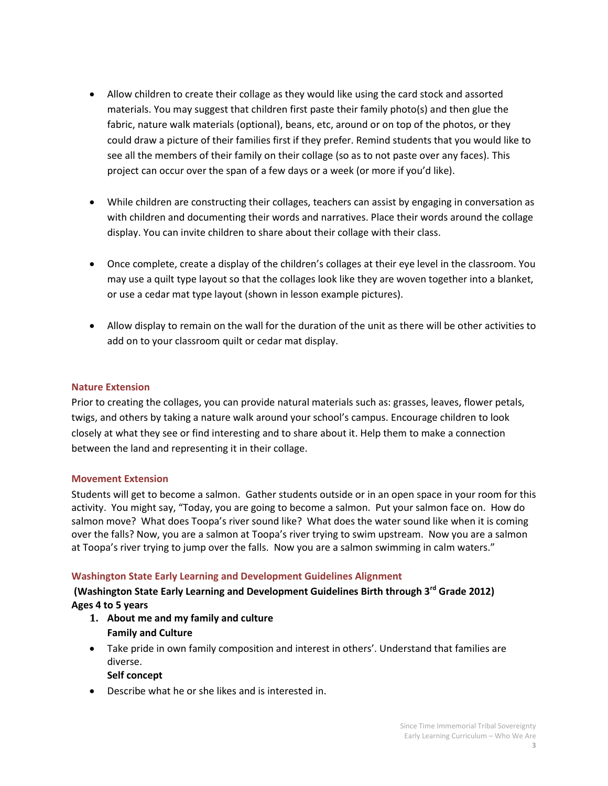- Allow children to create their collage as they would like using the card stock and assorted materials. You may suggest that children first paste their family photo(s) and then glue the fabric, nature walk materials (optional), beans, etc, around or on top of the photos, or they could draw a picture of their families first if they prefer. Remind students that you would like to see all the members of their family on their collage (so as to not paste over any faces). This project can occur over the span of a few days or a week (or more if you'd like).
- While children are constructing their collages, teachers can assist by engaging in conversation as with children and documenting their words and narratives. Place their words around the collage display. You can invite children to share about their collage with their class.
- Once complete, create a display of the children's collages at their eye level in the classroom. You may use a quilt type layout so that the collages look like they are woven together into a blanket, or use a cedar mat type layout (shown in lesson example pictures).
- Allow display to remain on the wall for the duration of the unit as there will be other activities to add on to your classroom quilt or cedar mat display.

### **Nature Extension**

Prior to creating the collages, you can provide natural materials such as: grasses, leaves, flower petals, twigs, and others by taking a nature walk around your school's campus. Encourage children to look closely at what they see or find interesting and to share about it. Help them to make a connection between the land and representing it in their collage.

### **Movement Extension**

Students will get to become a salmon. Gather students outside or in an open space in your room for this activity. You might say, "Today, you are going to become a salmon. Put your salmon face on. How do salmon move? What does Toopa's river sound like? What does the water sound like when it is coming over the falls? Now, you are a salmon at Toopa's river trying to swim upstream. Now you are a salmon at Toopa's river trying to jump over the falls. Now you are a salmon swimming in calm waters."

# **Washington State Early Learning and Development Guidelines Alignment**

# **(Washington State Early Learning and Development Guidelines Birth through 3rd Grade 2012) Ages 4 to 5 years**

- **1. About me and my family and culture Family and Culture**
- Take pride in own family composition and interest in others'. Understand that families are diverse.

# **Self concept**

Describe what he or she likes and is interested in.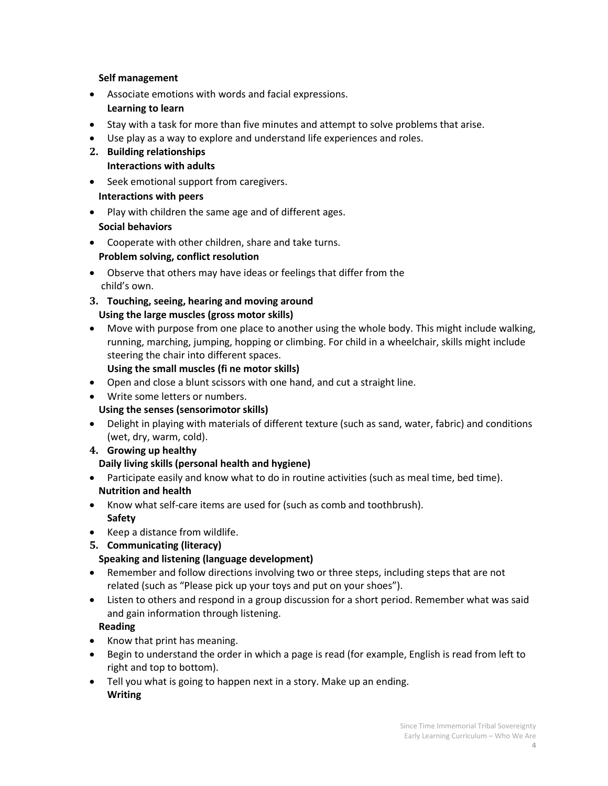### **Self management**

- Associate emotions with words and facial expressions. **Learning to learn**
- Stay with a task for more than five minutes and attempt to solve problems that arise.
- Use play as a way to explore and understand life experiences and roles.
- **2. Building relationships Interactions with adults**
- Seek emotional support from caregivers.  **Interactions with peers**
- Play with children the same age and of different ages.  **Social behaviors**
- Cooperate with other children, share and take turns.  **Problem solving, conflict resolution**
- Observe that others may have ideas or feelings that differ from the child's own.
- **3. Touching, seeing, hearing and moving around Using the large muscles (gross motor skills)**
- Move with purpose from one place to another using the whole body. This might include walking, running, marching, jumping, hopping or climbing. For child in a wheelchair, skills might include steering the chair into different spaces.
	- **Using the small muscles (fi ne motor skills)**
- Open and close a blunt scissors with one hand, and cut a straight line.
- Write some letters or numbers.  **Using the senses (sensorimotor skills)**
- Delight in playing with materials of different texture (such as sand, water, fabric) and conditions (wet, dry, warm, cold).
- **4. Growing up healthy**

# **Daily living skills (personal health and hygiene)**

- Participate easily and know what to do in routine activities (such as meal time, bed time).  **Nutrition and health**
- Know what self-care items are used for (such as comb and toothbrush). **Safety**
- Keep a distance from wildlife.
- **5. Communicating (literacy)**

# **Speaking and listening (language development)**

- Remember and follow directions involving two or three steps, including steps that are not related (such as "Please pick up your toys and put on your shoes").
- Listen to others and respond in a group discussion for a short period. Remember what was said and gain information through listening.

# **Reading**

- Know that print has meaning.
- Begin to understand the order in which a page is read (for example, English is read from left to right and top to bottom).
- Tell you what is going to happen next in a story. Make up an ending. **Writing**